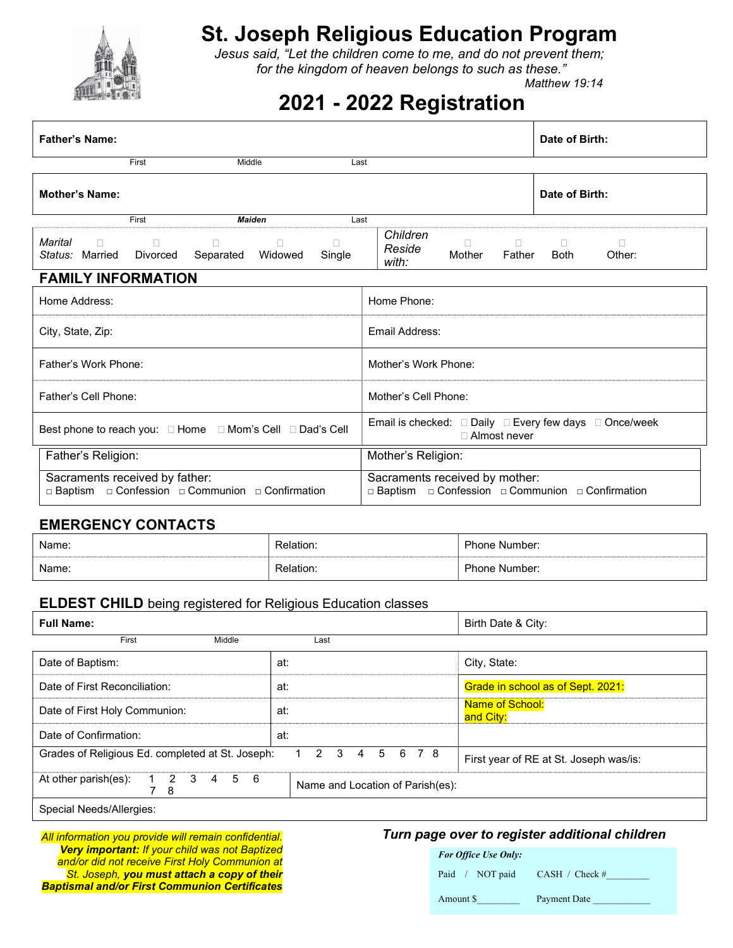

# St. Joseph Religious Education Program

Jesus said, "Let the children come to me, and do not prevent them; for the kingdom of heaven belongs to such as these."

Matthew 19:14

## 2021 - 2022 Registration

| <b>Father's Name:</b>                                                                                                        | Date of Birth:                                                                                         |
|------------------------------------------------------------------------------------------------------------------------------|--------------------------------------------------------------------------------------------------------|
| First<br>Middle                                                                                                              | Last                                                                                                   |
| <b>Mother's Name:</b>                                                                                                        | Date of Birth:                                                                                         |
| First<br><b>Maiden</b>                                                                                                       | Last                                                                                                   |
| Marital<br>$\Box$<br>$\Box$<br>$\Box$<br>$\Box$<br>п<br>Status: Married<br>Widowed<br><b>Divorced</b><br>Separated<br>Single | Children<br>$\Box$<br>П<br>$\Box$<br>П<br>Reside<br>Mother<br>Father<br><b>Both</b><br>Other:<br>with: |
| <b>FAMILY INFORMATION</b>                                                                                                    |                                                                                                        |
| Home Address:                                                                                                                | Home Phone:                                                                                            |
| City, State, Zip:                                                                                                            | Email Address:                                                                                         |
| Father's Work Phone:                                                                                                         | Mother's Work Phone:                                                                                   |
| Father's Cell Phone:                                                                                                         | Mother's Cell Phone:                                                                                   |
| Best phone to reach you: □ Home □ Mom's Cell □ Dad's Cell                                                                    | Email is checked: □ Daily □ Every few days □ Once/week<br>□ Almost never                               |
| Father's Religion:                                                                                                           | Mother's Religion:                                                                                     |
| Sacraments received by father:<br>□ Baptism □ Confession □ Communion □ Confirmation                                          | Sacraments received by mother:<br>□ Baptism □ Confession □ Communion □ Confirmation                    |

#### EMERGENCY CONTACTS

| Name: | Relation.      | Phone Number:           |
|-------|----------------|-------------------------|
| Name: | <u>elation</u> | <b>Phone</b><br>Number: |

#### ELDEST CHILD being registered for Religious Education classes

| <b>Full Name:</b>                                                                                                                     |                                  | Birth Date & City:                  |
|---------------------------------------------------------------------------------------------------------------------------------------|----------------------------------|-------------------------------------|
| First<br>Middle                                                                                                                       | Last                             |                                     |
| Date of Baptism:                                                                                                                      | at:                              | City, State:                        |
| Date of First Reconciliation:                                                                                                         | at:                              | Grade in school as of Sept. 2021:   |
| Date of First Holy Communion:                                                                                                         | at:                              | <b>Name of School:</b><br>and City: |
| Date of Confirmation:                                                                                                                 | at:                              |                                     |
| Grades of Religious Ed. completed at St. Joseph:<br>78<br>3<br>6<br>$\mathcal{P}$<br>5<br>4<br>First year of RE at St. Joseph was/is: |                                  |                                     |
| At other parish(es):<br>$\overline{\mathbf{2}}$<br>5 6<br>$\overline{\mathbf{3}}$<br>$\overline{4}$<br>8                              | Name and Location of Parish(es): |                                     |
| Special Needs/Allergies:                                                                                                              |                                  |                                     |

**Very important: If your child was not Baptized** and/or did not receive First Holy Communion at St. Joseph, you must attach a copy of their Baptismal and/or First Communion Certificates

## All information you provide will remain confidential. Turn page over to register additional children

|                             | e over to register additional crilium |
|-----------------------------|---------------------------------------|
| <b>For Office Use Only:</b> |                                       |
| Paid / NOT paid             | CASH / Check #                        |
| Amount \$                   | Payment Date                          |